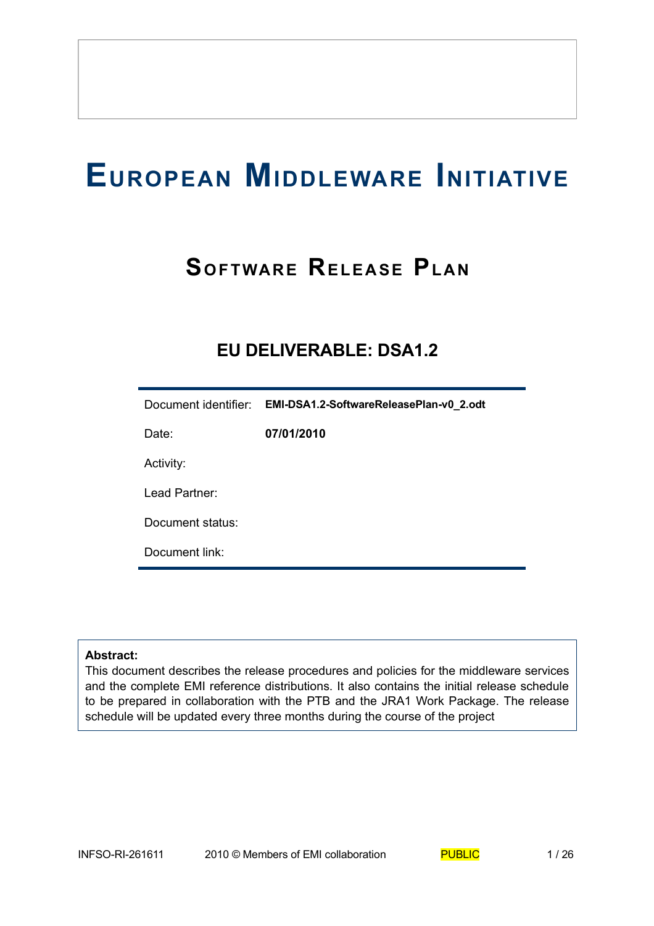# **EUROPEAN MIDDLEWARE INITIATIVE**

## **SO F TWAR E RE LE A SE PLA N**

## **EU DELIVERABLE: DSA1.2**

Document identifier: **EMI-DSA1.2-SoftwareReleasePlan-v0\_2.odt**

Date: **07/01/2010**

Activity:

Lead Partner:

Document status:

Document link:

#### **Abstract:**

This document describes the release procedures and policies for the middleware services and the complete EMI reference distributions. It also contains the initial release schedule to be prepared in collaboration with the PTB and the JRA1 Work Package. The release schedule will be updated every three months during the course of the project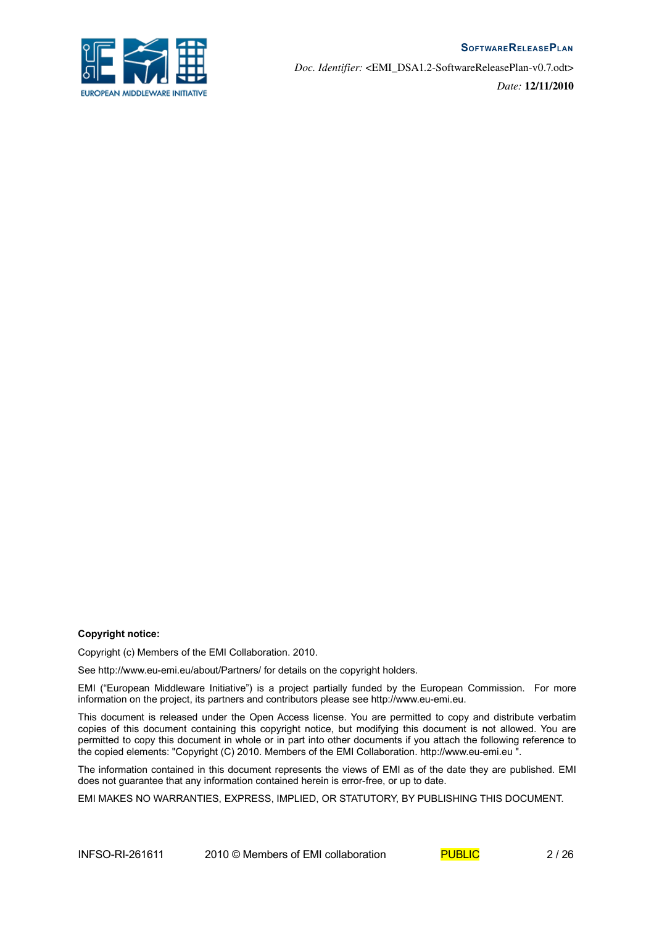#### **SOFTWARERELEASEPLAN**



*Doc. Identifier:* <EMI\_DSA1.2-SoftwareReleasePlan-v0.7.odt> *Date:* 12/11/2010

#### **Copyright notice:**

Copyright (c) Members of the EMI Collaboration. 2010.

See http://www.eu-emi.eu/about/Partners/ for details on the copyright holders.

EMI ("European Middleware Initiative") is a project partially funded by the European Commission. For more information on the project, its partners and contributors please see http://www.eu-emi.eu.

This document is released under the Open Access license. You are permitted to copy and distribute verbatim copies of this document containing this copyright notice, but modifying this document is not allowed. You are permitted to copy this document in whole or in part into other documents if you attach the following reference to the copied elements: "Copyright (C) 2010. Members of the EMI Collaboration. http://www.eu-emi.eu ".

The information contained in this document represents the views of EMI as of the date they are published. EMI does not guarantee that any information contained herein is error-free, or up to date.

EMI MAKES NO WARRANTIES, EXPRESS, IMPLIED, OR STATUTORY, BY PUBLISHING THIS DOCUMENT.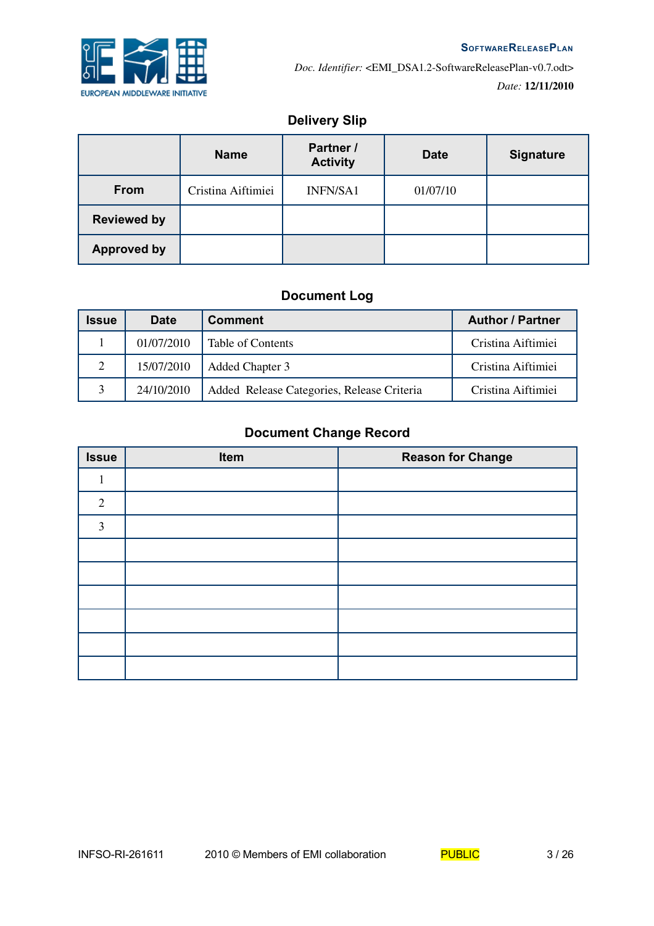#### **SOFTWARERELEASEPLAN**



*Doc. Identifier:* <EMI\_DSA1.2-SoftwareReleasePlan-v0.7.odt> *Date:* 12/11/2010

## **Delivery Slip**

|                    | <b>Name</b>        | Partner /<br><b>Activity</b> | <b>Date</b> | <b>Signature</b> |
|--------------------|--------------------|------------------------------|-------------|------------------|
| <b>From</b>        | Cristina Aiftimiei | <b>INFN/SA1</b>              | 01/07/10    |                  |
| <b>Reviewed by</b> |                    |                              |             |                  |
| <b>Approved by</b> |                    |                              |             |                  |

## **Document Log**

| <b>Issue</b>  | <b>Date</b> | <b>Comment</b>                             | <b>Author / Partner</b> |
|---------------|-------------|--------------------------------------------|-------------------------|
|               | 01/07/2010  | Table of Contents                          | Cristina Aiftimiei      |
| $\mathcal{D}$ | 15/07/2010  | Added Chapter 3                            | Cristina Aiftimiei      |
| $\mathbf{c}$  | 24/10/2010  | Added Release Categories, Release Criteria | Cristina Aiftimiei      |

## **Document Change Record**

| <b>Issue</b>   | Item | <b>Reason for Change</b> |
|----------------|------|--------------------------|
| 1              |      |                          |
| $\overline{2}$ |      |                          |
| $\overline{3}$ |      |                          |
|                |      |                          |
|                |      |                          |
|                |      |                          |
|                |      |                          |
|                |      |                          |
|                |      |                          |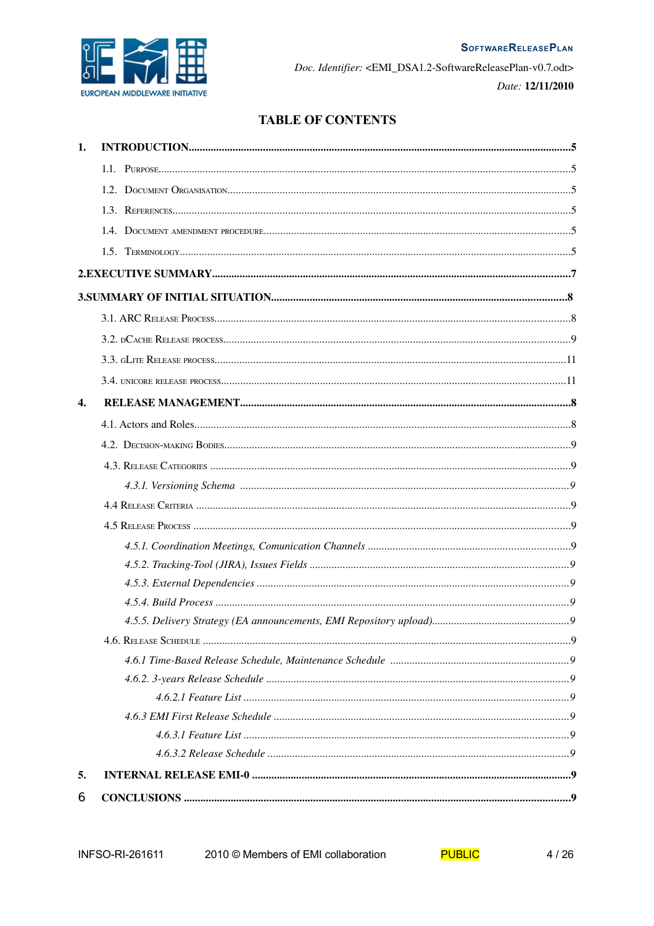

## **TABLE OF CONTENTS**

| 1.           |  |
|--------------|--|
|              |  |
|              |  |
|              |  |
|              |  |
|              |  |
|              |  |
|              |  |
|              |  |
|              |  |
|              |  |
|              |  |
| $\mathbf{4}$ |  |
|              |  |
|              |  |
|              |  |
|              |  |
|              |  |
|              |  |
|              |  |
|              |  |
|              |  |
|              |  |
|              |  |
|              |  |
|              |  |
|              |  |
|              |  |
|              |  |
|              |  |
|              |  |
| 5.           |  |
| 6            |  |

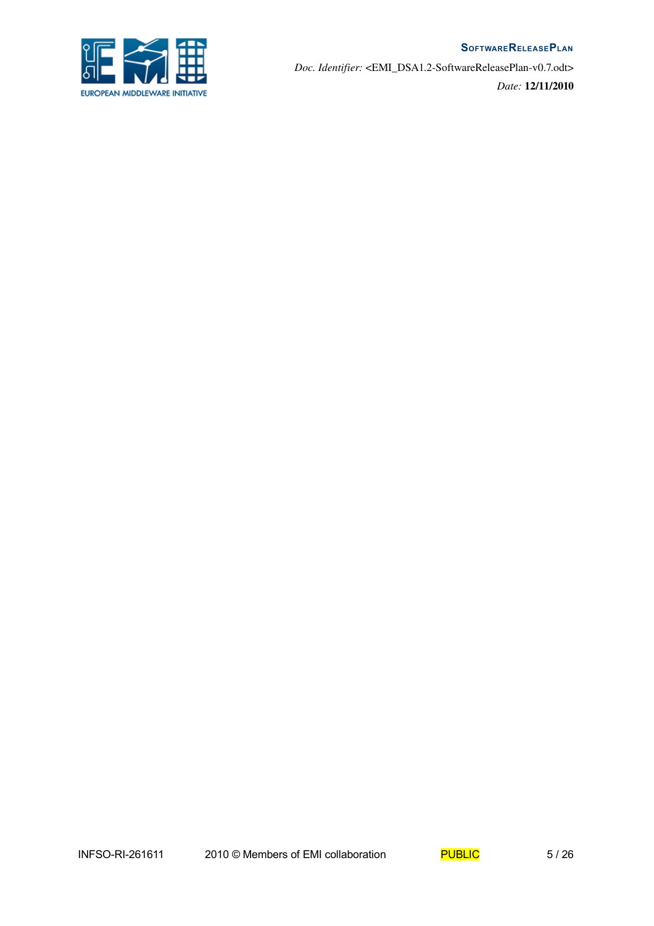#### **SOFTWARERELEASEPLAN**

*Doc. Identifier:* <EMI\_DSA1.2-SoftwareReleasePlan-v0.7.odt> *Date:* 12/11/2010

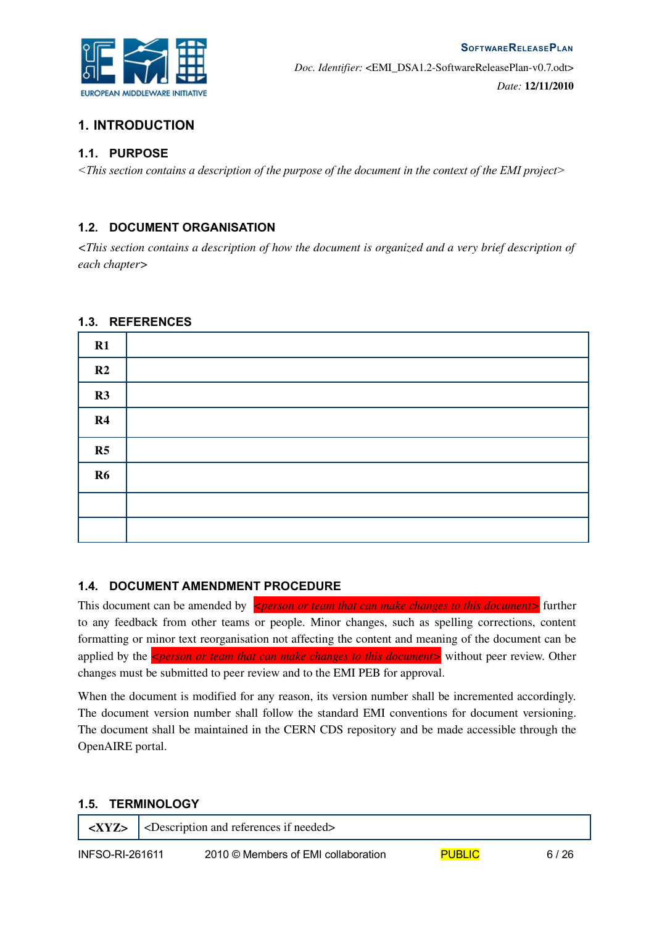

## **1. INTRODUCTION**

#### **1.1. PURPOSE**

*<This section contains a description of the purpose of the document in the context of the EMI project>*

#### **1.2. DOCUMENT ORGANISATION**

*<This section contains a description of how the document is organized and a very brief description of each chapter>*

| R1            |  |
|---------------|--|
| $\mathbf{R2}$ |  |
| R3            |  |
| R4            |  |
| R5            |  |
| <b>R6</b>     |  |
|               |  |
|               |  |

#### **1.3. REFERENCES**

#### **1.4. DOCUMENT AMENDMENT PROCEDURE**

This document can be amended by *<u>sperson or team that can make changes to this document*</u> to any feedback from other teams or people. Minor changes, such as spelling corrections, content formatting or minor text reorganisation not affecting the content and meaning of the document can be applied by the *<u><person or team that can make changes to this document></u> without peer review. Other* changes must be submitted to peer review and to the EMI PEB for approval.

When the document is modified for any reason, its version number shall be incremented accordingly. The document version number shall follow the standard EMI conventions for document versioning. The document shall be maintained in the CERN CDS repository and be made accessible through the OpenAIRE portal.

#### **1.5. TERMINOLOGY**

|         | $\vert$ <xyz> <math>\vert</math> <description and="" if="" needed="" references=""></description></xyz> |              |            |
|---------|---------------------------------------------------------------------------------------------------------|--------------|------------|
| $I = 0$ |                                                                                                         | <b>DUDIT</b> | $\sim$ 100 |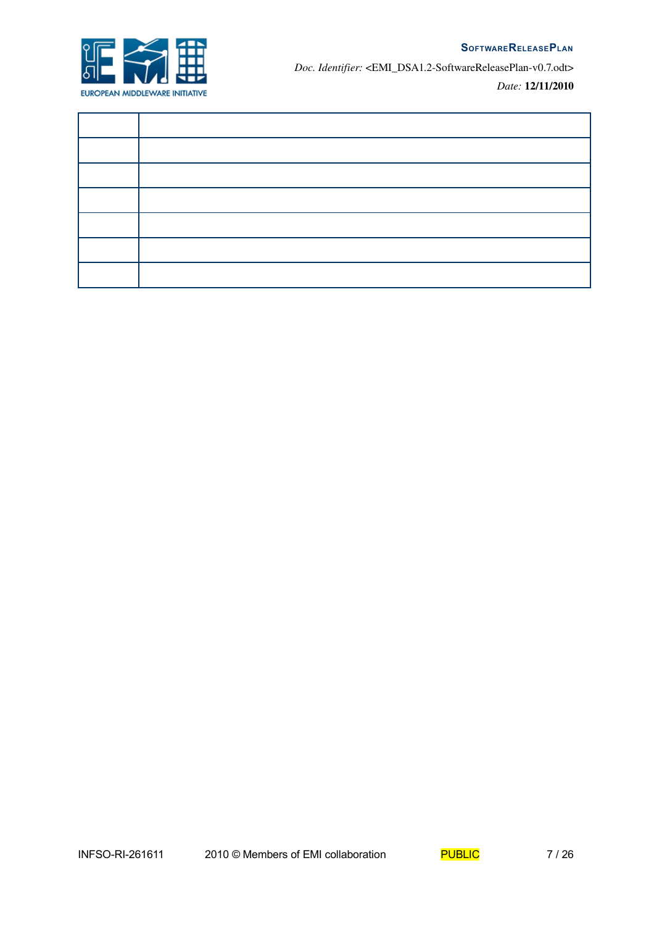#### **SOFTWARERELEASEPLAN**



*Doc. Identifier:* <EMI\_DSA1.2-SoftwareReleasePlan-v0.7.odt> *Date:* 12/11/2010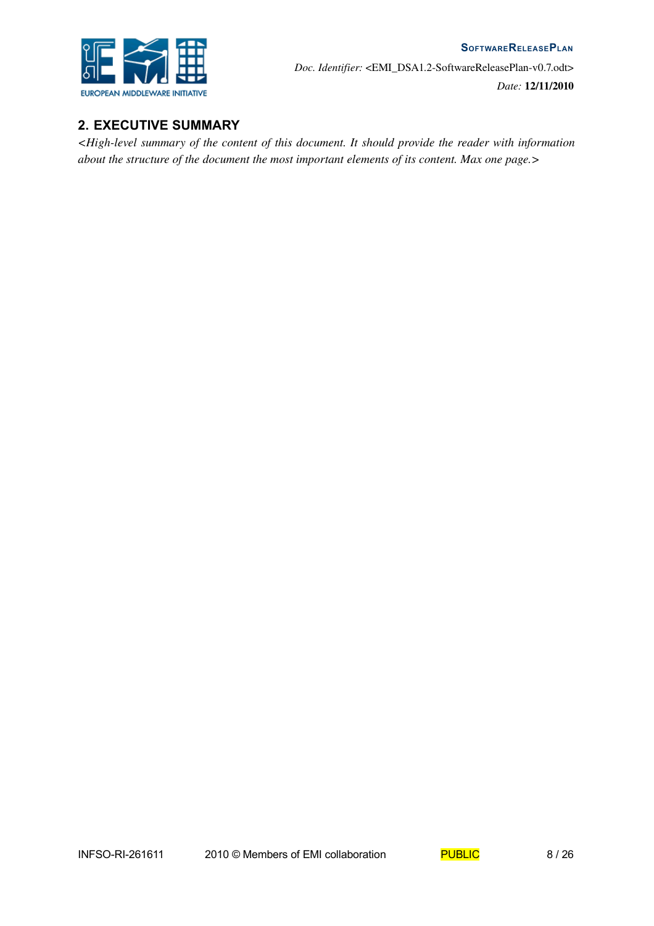

## **2. EXECUTIVE SUMMARY**

*<Highlevel summary of the content of this document. It should provide the reader with information about the structure of the document the most important elements of its content. Max one page.>*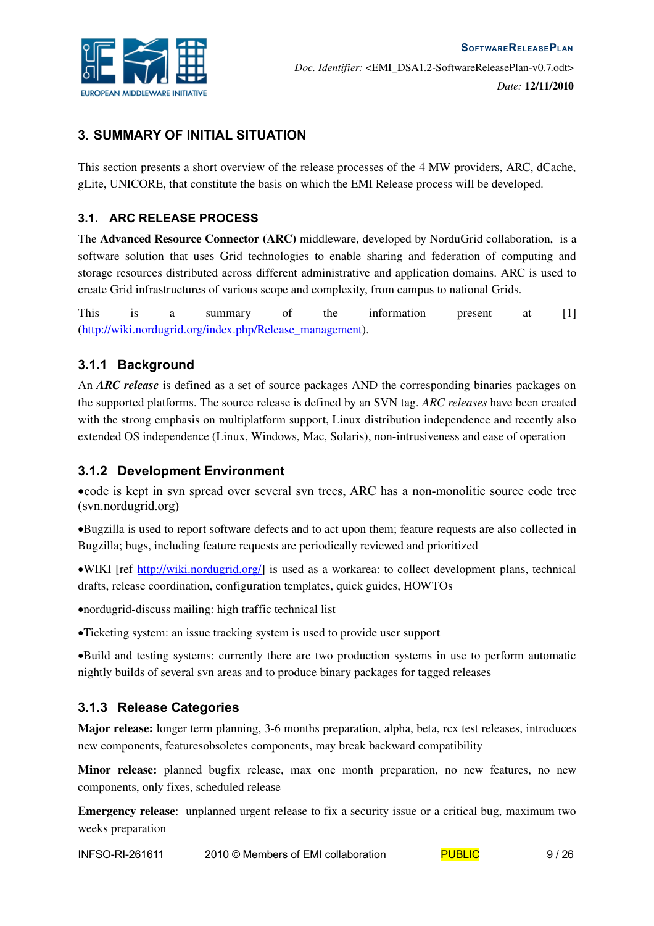

## **3. SUMMARY OF INITIAL SITUATION**

This section presents a short overview of the release processes of the 4 MW providers, ARC, dCache, gLite, UNICORE, that constitute the basis on which the EMI Release process will be developed.

#### **3.1. ARC RELEASE PROCESS**

The Advanced Resource Connector (ARC) middleware, developed by NorduGrid collaboration, is a software solution that uses Grid technologies to enable sharing and federation of computing and storage resources distributed across different administrative and application domains. ARC is used to create Grid infrastructures of various scope and complexity, from campus to national Grids.

This is a summary of the information present at [1] [\(http://wiki.nordugrid.org/index.php/Release\\_management\)](http://wiki.nordugrid.org/index.php/Release_management).

### **3.1.1 Background**

An *ARC release* is defined as a set of source packages AND the corresponding binaries packages on the supported platforms. The source release is defined by an SVN tag. *ARC releases* have been created with the strong emphasis on multiplatform support, Linux distribution independence and recently also extended OS independence (Linux, Windows, Mac, Solaris), non-intrusiveness and ease of operation

#### **3.1.2 Development Environment**

code is kept in svn spread over several svn trees, ARC has a non-monolitic source code tree (svn.nordugrid.org)

Bugzilla is used to report software defects and to act upon them; feature requests are also collected in Bugzilla; bugs, including feature requests are periodically reviewed and prioritized

WIKI [ref [http://wiki.nordugrid.org/\]](http://wiki.nordugrid.org/) is used as a workarea: to collect development plans, technical drafts, release coordination, configuration templates, quick guides, HOWTOs

nordugriddiscuss mailing: high traffic technical list

Ticketing system: an issue tracking system is used to provide user support

Build and testing systems: currently there are two production systems in use to perform automatic nightly builds of several svn areas and to produce binary packages for tagged releases

### **3.1.3 Release Categories**

Major release: longer term planning, 3-6 months preparation, alpha, beta, rcx test releases, introduces new components, featuresobsoletes components, may break backward compatibility

Minor release: planned bugfix release, max one month preparation, no new features, no new components, only fixes, scheduled release

Emergency release: unplanned urgent release to fix a security issue or a critical bug, maximum two weeks preparation

INFSO-RI-261611 2010 © Members of EMI collaboration PUBLIC 9/26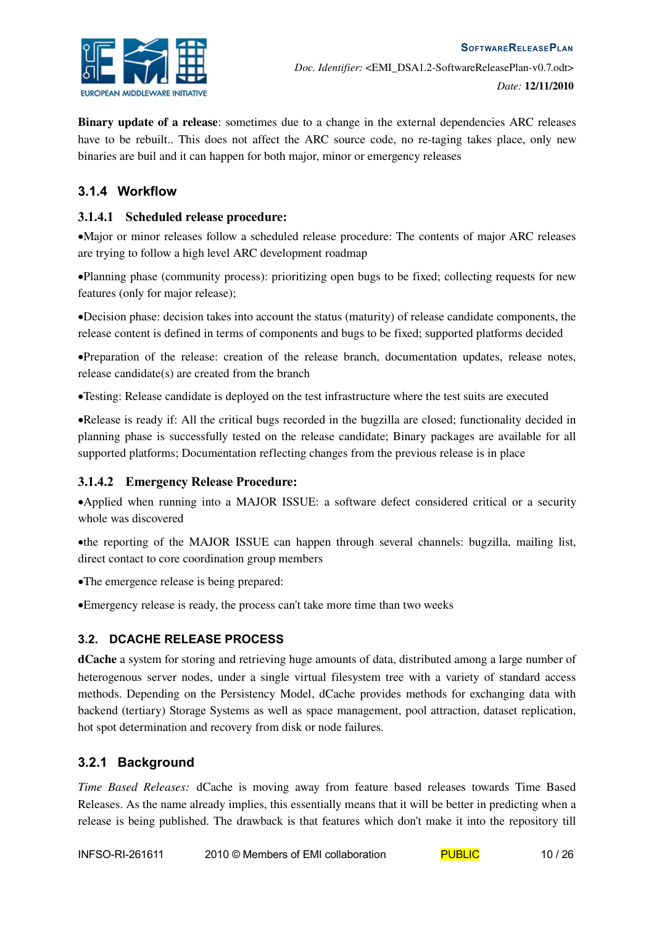

Binary update of a release: sometimes due to a change in the external dependencies ARC releases have to be rebuilt.. This does not affect the ARC source code, no re-taging takes place, only new binaries are buil and it can happen for both major, minor or emergency releases

### **3.1.4 Workflow**

#### **3.1.4.1 Scheduled release procedure:**

Major or minor releases follow a scheduled release procedure: The contents of major ARC releases are trying to follow a high level ARC development roadmap

Planning phase (community process): prioritizing open bugs to be fixed; collecting requests for new features (only for major release);

Decision phase: decision takes into account the status (maturity) of release candidate components, the release content is defined in terms of components and bugs to be fixed; supported platforms decided

Preparation of the release: creation of the release branch, documentation updates, release notes, release candidate(s) are created from the branch

Testing: Release candidate is deployed on the test infrastructure where the test suits are executed

Release is ready if: All the critical bugs recorded in the bugzilla are closed; functionality decided in planning phase is successfully tested on the release candidate; Binary packages are available for all supported platforms; Documentation reflecting changes from the previous release is in place

#### **3.1.4.2 Emergency Release Procedure:**

Applied when running into a MAJOR ISSUE: a software defect considered critical or a security whole was discovered

the reporting of the MAJOR ISSUE can happen through several channels: bugzilla, mailing list, direct contact to core coordination group members

The emergence release is being prepared:

Emergency release is ready, the process can't take more time than two weeks

### **3.2. DCACHE RELEASE PROCESS**

dCache a system for storing and retrieving huge amounts of data, distributed among a large number of heterogenous server nodes, under a single virtual filesystem tree with a variety of standard access methods. Depending on the Persistency Model, dCache provides methods for exchanging data with backend (tertiary) Storage Systems as well as space management, pool attraction, dataset replication, hot spot determination and recovery from disk or node failures.

### **3.2.1 Background**

*Time Based Releases:* dCache is moving away from feature based releases towards Time Based Releases. As the name already implies, this essentially means that it will be better in predicting when a release is being published. The drawback is that features which don't make it into the repository till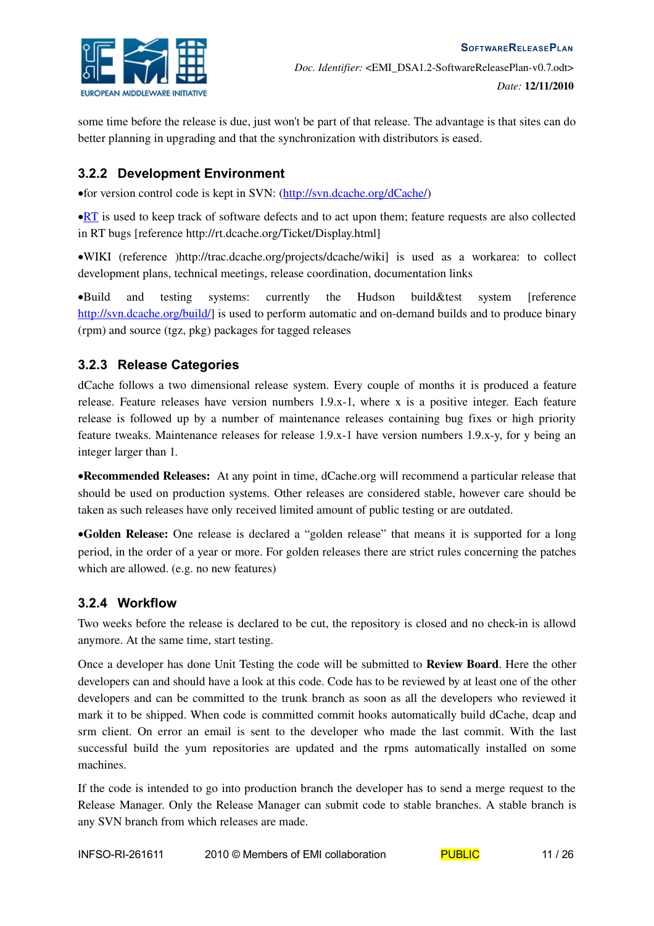

some time before the release is due, just won't be part of that release. The advantage is that sites can do better planning in upgrading and that the synchronization with distributors is eased.

## **3.2.2 Development Environment**

for version control code is kept in SVN: [\(http://svn.dcache.org/dCache/\)](http://svn.dcache.org/dCache/)

**•RT** is used to keep track of software defects and to act upon them; feature requests are also collected in RT bugs [reference http://rt.dcache.org/Ticket/Display.html]

WIKI (reference )http://trac.dcache.org/projects/dcache/wiki] is used as a workarea: to collect development plans, technical meetings, release coordination, documentation links

Build and testing systems: currently the Hudson build&test system [reference [http://svn.dcache.org/build/\]](http://svn.dcache.org/build/) is used to perform automatic and on-demand builds and to produce binary (rpm) and source (tgz, pkg) packages for tagged releases

#### **3.2.3 Release Categories**

dCache follows a two dimensional release system. Every couple of months it is produced a feature release. Feature releases have version numbers 1.9.x-1, where x is a positive integer. Each feature release is followed up by a number of maintenance releases containing bug fixes or high priority feature tweaks. Maintenance releases for release 1.9.x-1 have version numbers 1.9.x-y, for y being an integer larger than 1.

Recommended Releases: At any point in time, dCache.org will recommend a particular release that should be used on production systems. Other releases are considered stable, however care should be taken as such releases have only received limited amount of public testing or are outdated.

Golden Release: One release is declared a "golden release" that means it is supported for a long period, in the order of a year or more. For golden releases there are strict rules concerning the patches which are allowed. (e.g. no new features)

#### **3.2.4 Workflow**

Two weeks before the release is declared to be cut, the repository is closed and no check-in is allowd anymore. At the same time, start testing.

Once a developer has done Unit Testing the code will be submitted to Review Board. Here the other developers can and should have a look at this code. Code has to be reviewed by at least one of the other developers and can be committed to the trunk branch as soon as all the developers who reviewed it mark it to be shipped. When code is committed commit hooks automatically build dCache, dcap and srm client. On error an email is sent to the developer who made the last commit. With the last successful build the yum repositories are updated and the rpms automatically installed on some machines.

If the code is intended to go into production branch the developer has to send a merge request to the Release Manager. Only the Release Manager can submit code to stable branches. A stable branch is any SVN branch from which releases are made.

INFSO-RI-261611 2010 © Members of EMI collaboration PUBLIC 11 / 26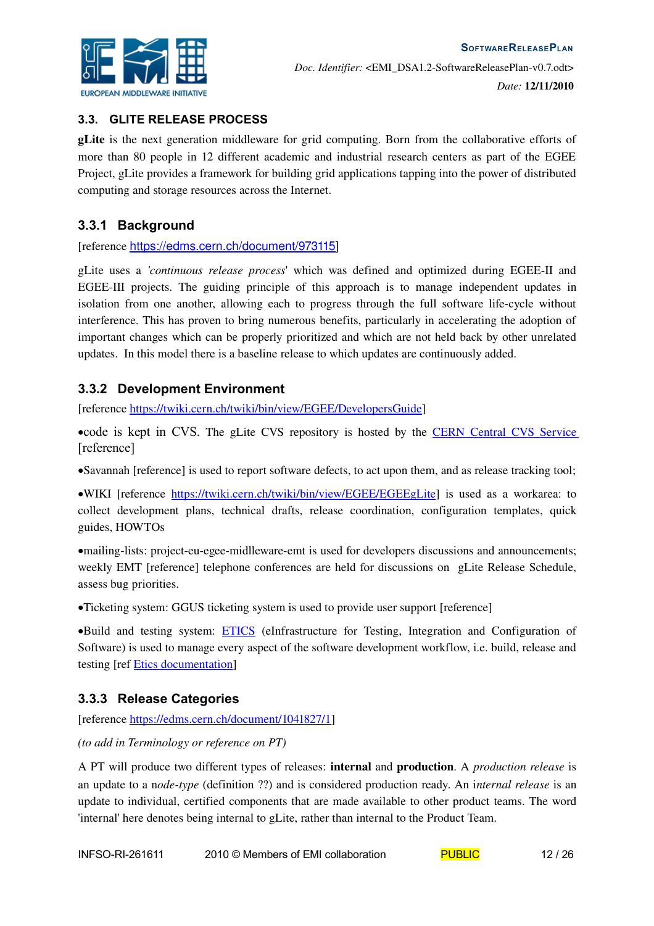

#### **3.3. GLITE RELEASE PROCESS**

gLite is the next generation middleware for grid computing. Born from the collaborative efforts of more than 80 people in 12 different academic and industrial research centers as part of the EGEE Project, gLite provides a framework for building grid applications tapping into the power of distributed computing and storage resources across the Internet.

## **3.3.1 Background**

#### [reference [https://edms.cern.ch/document/973115\]](https://edms.cern.ch/document/973115)

gLite uses a 'continuous release process' which was defined and optimized during EGEE-II and EGEE-III projects. The guiding principle of this approach is to manage independent updates in isolation from one another, allowing each to progress through the full software life-cycle without interference. This has proven to bring numerous benefits, particularly in accelerating the adoption of important changes which can be properly prioritized and which are not held back by other unrelated updates. In this model there is a baseline release to which updates are continuously added.

#### **3.3.2 Development Environment**

[reference [https://twiki.cern.ch/twiki/bin/view/EGEE/DevelopersGuide\]](https://twiki.cern.ch/twiki/bin/view/EGEE/DevelopersGuide)

code is kept in CVS. The gLite CVS repository is hosted by the  [CERN Central CVS Service](http://cvs.web.cern.ch/cvs/) [reference]

Savannah [reference] is used to report software defects, to act upon them, and as release tracking tool;

WIKI [reference  [https://twiki.cern.ch/twiki/bin/view/EGEE/EGEEgLite\]](https://twiki.cern.ch/twiki/bin/view/EGEE/EGEEgLite) is used as a workarea: to collect development plans, technical drafts, release coordination, configuration templates, quick guides, HOWTOs

 $emailing-lists: project-eu-egee-midlleware-emt is used for developers discussions and announcements;$ weekly EMT [reference] telephone conferences are held for discussions on gLite Release Schedule, assess bug priorities.

Ticketing system: GGUS ticketing system is used to provide user support [reference]

Build and testing system:  [ETICS](https://twiki.cern.ch/twiki/bin/view/EGEE/ETICS)  (eInfrastructure for Testing, Integration and Configuration of Software) is used to manage every aspect of the software development workflow, i.e. build, release and testing [ref [Etics documentation\]](https://twiki.cern.ch/twiki/bin/view/ETICS/WebHome)

### **3.3.3 Release Categories**

[reference [https://edms.cern.ch/document/1041827/1\]](https://edms.cern.ch/document/1041827/1)

*(to add in Terminology or reference on PT)*

A PT will produce two different types of releases: internal and production. A *production release* is an update to a node-type (definition ??) and is considered production ready. An *internal release* is an update to individual, certified components that are made available to other product teams. The word 'internal' here denotes being internal to gLite, rather than internal to the Product Team.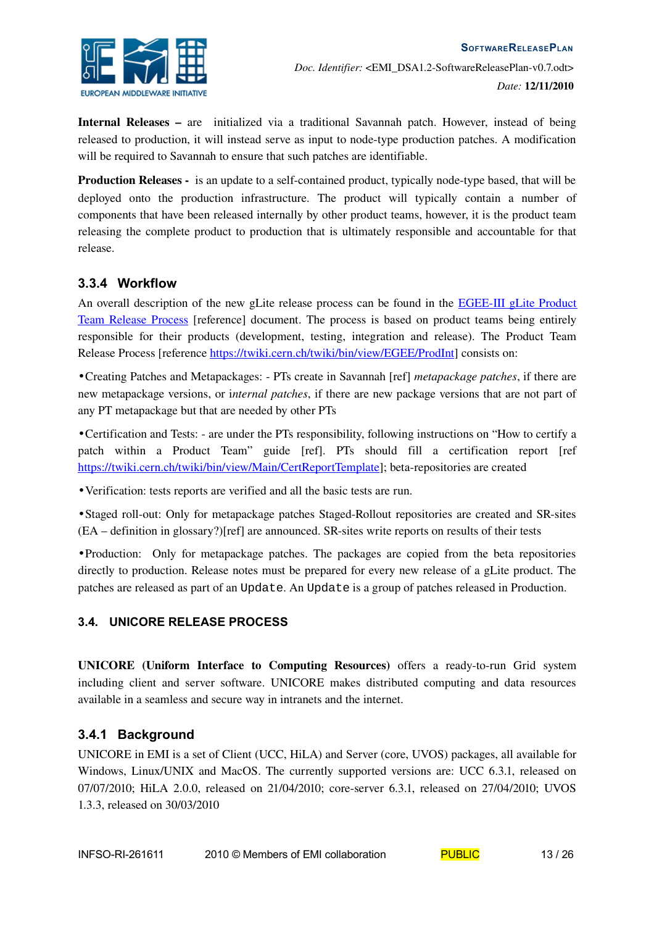

Internal Releases – are initialized via a traditional Savannah patch. However, instead of being released to production, it will instead serve as input to node-type production patches. A modification will be required to Savannah to ensure that such patches are identifiable.

**Production Releases** - is an update to a self-contained product, typically node-type based, that will be deployed onto the production infrastructure. The product will typically contain a number of components that have been released internally by other product teams, however, it is the product team releasing the complete product to production that is ultimately responsible and accountable for that release.

#### **3.3.4 Workflow**

An overall description of the new gLite release process can be found in the EGEE-III gLite Product [Team Release Process](https://edms.cern.ch/document/1041827/1) [reference] document. The process is based on product teams being entirely responsible for their products (development, testing, integration and release). The Product Team Release Process [reference [https://twiki.cern.ch/twiki/bin/view/EGEE/ProdInt\]](https://twiki.cern.ch/twiki/bin/view/EGEE/ProdInt) consists on:

•Creating Patches and Metapackages: PTs create in Savannah [ref] *metapackage patches*, if there are new metapackage versions, or i*nternal patches*, if there are new package versions that are not part of any PT metapackage but that are needed by other PTs

•Certification and Tests: are under the PTs responsibility, following instructions on "How to certify a patch within a Product Team" guide [ref]. PTs should fill a certification report [ref [https://twiki.cern.ch/twiki/bin/view/Main/CertReportTemplate\]](https://twiki.cern.ch/twiki/bin/view/Main/CertReportTemplate); beta-repositories are created

•Verification: tests reports are verified and all the basic tests are run.

• Staged roll-out: Only for metapackage patches Staged-Rollout repositories are created and SR-sites  $(EA – definition in glossary?)$ [ref] are announced. SR-sites write reports on results of their tests

•Production: Only for metapackage patches. The packages are copied from the beta repositories directly to production. Release notes must be prepared for every new release of a gLite product. The patches are released as part of an Update. An Update is a group of patches released in Production.

#### **3.4. UNICORE RELEASE PROCESS**

UNICORE (Uniform Interface to Computing Resources) offers a ready-to-run Grid system including client and server software. UNICORE makes distributed computing and data resources available in a seamless and secure way in intranets and the internet.

#### **3.4.1 Background**

UNICORE in EMI is a set of Client (UCC, HiLA) and Server (core, UVOS) packages, all available for Windows, Linux/UNIX and MacOS. The currently supported versions are: UCC 6.3.1, released on 07/07/2010; HiLA 2.0.0, released on 21/04/2010; core-server 6.3.1, released on 27/04/2010; UVOS 1.3.3, released on 30/03/2010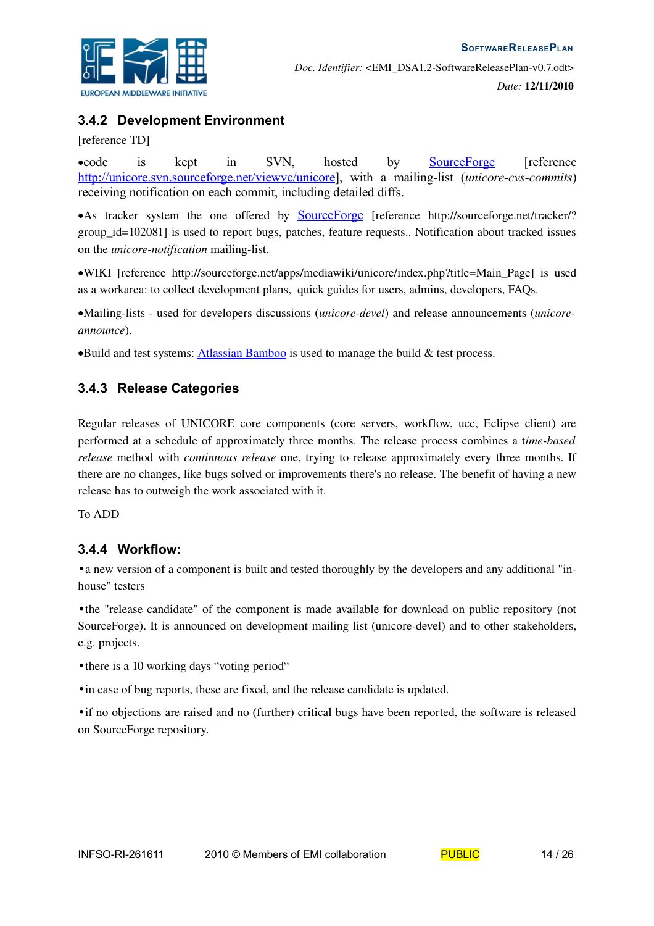

### **3.4.2 Development Environment**

[reference TD]

•code is kept in SVN, hosted by [SourceForge](http://sourceforge.net/) [reference [http://unicore.svn.sourceforge.net/viewvc/unicore\]](http://unicore.svn.sourceforge.net/viewvc/unicore), with a mailing-list (*unicore-cvs-commits*) receiving notification on each commit, including detailed diffs.

• As tracker system the one offered by **[SourceForge](http://sourceforge.net/)** [reference http://sourceforge.net/tracker/? group\_id=102081] is used to report bugs, patches, feature requests.. Notification about tracked issues on the *unicore-notification* mailing-list.

WIKI [reference http://sourceforge.net/apps/mediawiki/unicore/index.php?title=Main\_Page] is used as a workarea: to collect development plans, quick guides for users, admins, developers, FAQs.

•Mailing-lists - used for developers discussions (*unicore-devel*) and release announcements (*unicoreannounce*).

Build and test systems: [Atlassian Bamboo](http://unicore-dev.zam.kfa-juelich.de/bamboo/start.action;jsessionid=1ththaa1402c1) is used to manage the build & test process.

### **3.4.3 Release Categories**

Regular releases of UNICORE core components (core servers, workflow, ucc, Eclipse client) are performed at a schedule of approximately three months. The release process combines a t*imebased release* method with *continuous release* one, trying to release approximately every three months. If there are no changes, like bugs solved or improvements there's no release. The benefit of having a new release has to outweigh the work associated with it.

To ADD

### **3.4.4 Workflow:**

•a new version of a component is built and tested thoroughly by the developers and any additional "inhouse" testers

•the "release candidate" of the component is made available for download on public repository (not SourceForge). It is announced on development mailing list (unicore-devel) and to other stakeholders, e.g. projects.

• there is a 10 working days "voting period"

•in case of bug reports, these are fixed, and the release candidate is updated.

•if no objections are raised and no (further) critical bugs have been reported, the software is released on SourceForge repository.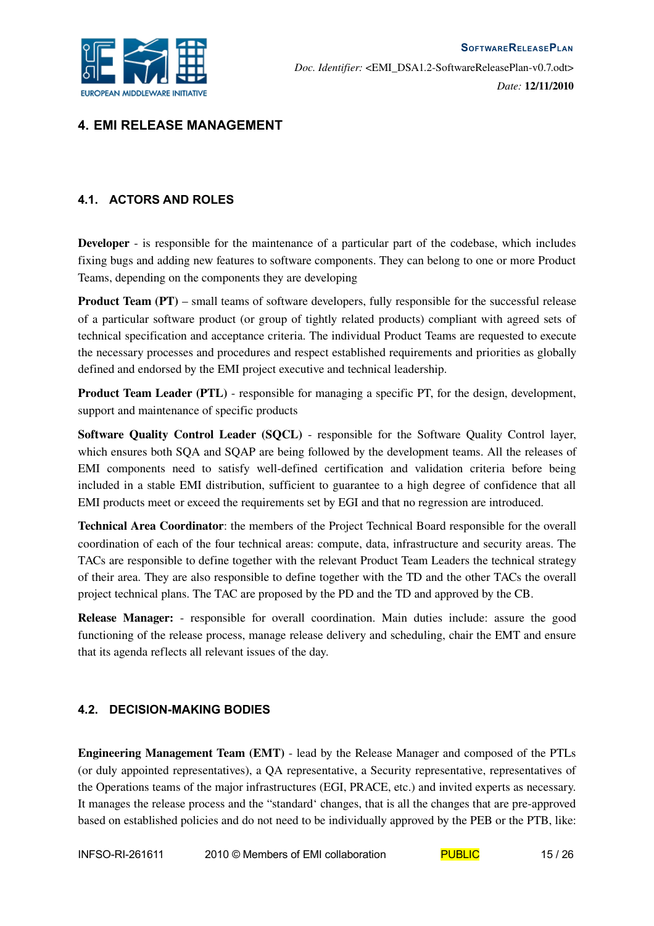

## **4. EMI RELEASE MANAGEMENT**

#### **4.1. ACTORS AND ROLES**

Developer - is responsible for the maintenance of a particular part of the codebase, which includes fixing bugs and adding new features to software components. They can belong to one or more Product Teams, depending on the components they are developing

Product Team (PT) – small teams of software developers, fully responsible for the successful release of a particular software product (or group of tightly related products) compliant with agreed sets of technical specification and acceptance criteria. The individual Product Teams are requested to execute the necessary processes and procedures and respect established requirements and priorities as globally defined and endorsed by the EMI project executive and technical leadership.

Product Team Leader (PTL) - responsible for managing a specific PT, for the design, development, support and maintenance of specific products

Software Quality Control Leader (SOCL) - responsible for the Software Quality Control layer, which ensures both SQA and SQAP are being followed by the development teams. All the releases of EMI components need to satisfy well-defined certification and validation criteria before being included in a stable EMI distribution, sufficient to guarantee to a high degree of confidence that all EMI products meet or exceed the requirements set by EGI and that no regression are introduced.

Technical Area Coordinator: the members of the Project Technical Board responsible for the overall coordination of each of the four technical areas: compute, data, infrastructure and security areas. The TACs are responsible to define together with the relevant Product Team Leaders the technical strategy of their area. They are also responsible to define together with the TD and the other TACs the overall project technical plans. The TAC are proposed by the PD and the TD and approved by the CB.

Release Manager: - responsible for overall coordination. Main duties include: assure the good functioning of the release process, manage release delivery and scheduling, chair the EMT and ensure that its agenda reflects all relevant issues of the day.

#### **4.2. DECISION-MAKING BODIES**

Engineering Management Team (EMT) - lead by the Release Manager and composed of the PTLs (or duly appointed representatives), a QA representative, a Security representative, representatives of the Operations teams of the major infrastructures (EGI, PRACE, etc.) and invited experts as necessary. It manages the release process and the "standard" changes, that is all the changes that are pre-approved based on established policies and do not need to be individually approved by the PEB or the PTB, like: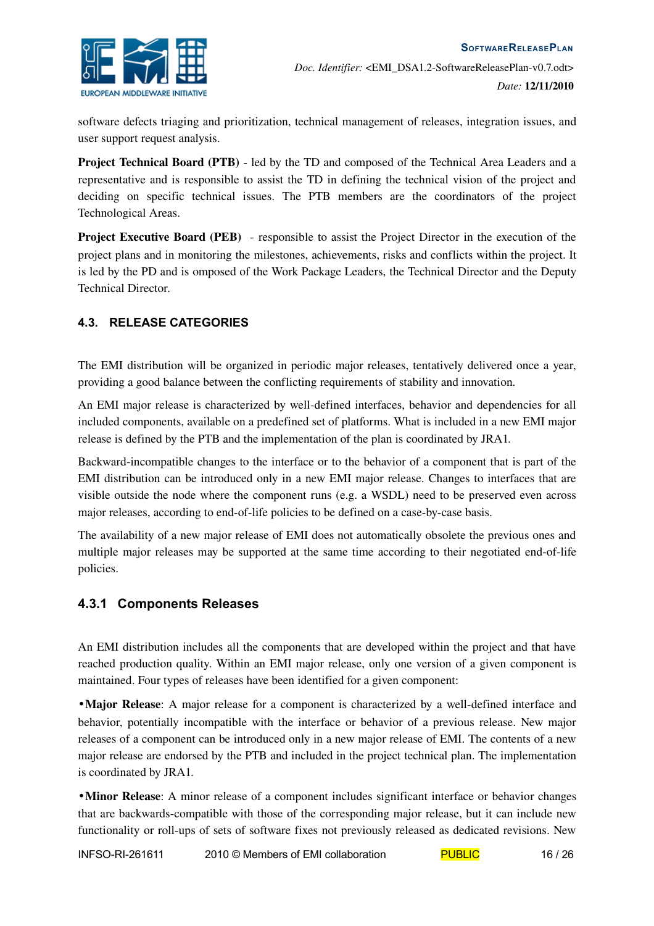

software defects triaging and prioritization, technical management of releases, integration issues, and user support request analysis.

Project Technical Board (PTB) - led by the TD and composed of the Technical Area Leaders and a representative and is responsible to assist the TD in defining the technical vision of the project and deciding on specific technical issues. The PTB members are the coordinators of the project Technological Areas.

Project Executive Board (PEB) responsible to assist the Project Director in the execution of the project plans and in monitoring the milestones, achievements, risks and conflicts within the project. It is led by the PD and is omposed of the Work Package Leaders, the Technical Director and the Deputy Technical Director.

#### **4.3. RELEASE CATEGORIES**

The EMI distribution will be organized in periodic major releases, tentatively delivered once a year, providing a good balance between the conflicting requirements of stability and innovation.

An EMI major release is characterized by well-defined interfaces, behavior and dependencies for all included components, available on a predefined set of platforms. What is included in a new EMI major release is defined by the PTB and the implementation of the plan is coordinated by JRA1.

Backward-incompatible changes to the interface or to the behavior of a component that is part of the EMI distribution can be introduced only in a new EMI major release. Changes to interfaces that are visible outside the node where the component runs (e.g. a WSDL) need to be preserved even across major releases, according to end-of-life policies to be defined on a case-by-case basis.

The availability of a new major release of EMI does not automatically obsolete the previous ones and multiple major releases may be supported at the same time according to their negotiated end-of-life policies.

#### **4.3.1 Components Releases**

An EMI distribution includes all the components that are developed within the project and that have reached production quality. Within an EMI major release, only one version of a given component is maintained. Four types of releases have been identified for a given component:

•Major Release: A major release for a component is characterized by a well-defined interface and behavior, potentially incompatible with the interface or behavior of a previous release. New major releases of a component can be introduced only in a new major release of EMI. The contents of a new major release are endorsed by the PTB and included in the project technical plan. The implementation is coordinated by JRA1.

•Minor Release: A minor release of a component includes significant interface or behavior changes that are backwards-compatible with those of the corresponding major release, but it can include new functionality or roll-ups of sets of software fixes not previously released as dedicated revisions. New

INFSO-RI-261611 2010 © Members of EMI collaboration PUBLIC 16/26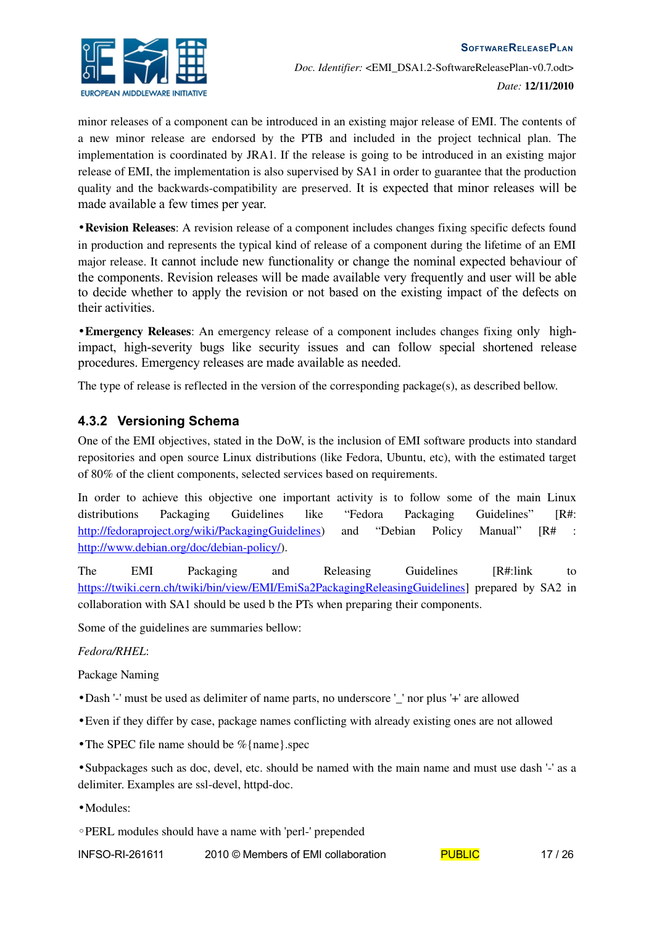

minor releases of a component can be introduced in an existing major release of EMI. The contents of a new minor release are endorsed by the PTB and included in the project technical plan. The implementation is coordinated by JRA1. If the release is going to be introduced in an existing major release of EMI, the implementation is also supervised by SA1 in order to guarantee that the production quality and the backwards-compatibility are preserved. It is expected that minor releases will be made available a few times per year.

•Revision Releases: A revision release of a component includes changes fixing specific defects found in production and represents the typical kind of release of a component during the lifetime of an EMI major release. It cannot include new functionality or change the nominal expected behaviour of the components. Revision releases will be made available very frequently and user will be able to decide whether to apply the revision or not based on the existing impact of the defects on their activities.

•Emergency Releases: An emergency release of a component includes changes fixing only highimpact, high-severity bugs like security issues and can follow special shortened release procedures. Emergency releases are made available as needed.

The type of release is reflected in the version of the corresponding package(s), as described bellow.

### **4.3.2 Versioning Schema**

One of the EMI objectives, stated in the DoW, is the inclusion of EMI software products into standard repositories and open source Linux distributions (like Fedora, Ubuntu, etc), with the estimated target of 80% of the client components, selected services based on requirements.

In order to achieve this objective one important activity is to follow some of the main Linux distributions Packaging Guidelines like "Fedora Packaging Guidelines" [R#: [http://fedoraproject.org/wiki/PackagingGuidelines\)](http://fedoraproject.org/wiki/PackagingGuidelines) and "Debian Policy Manual" [R# : http://www.debian.org/doc/debian-policy/).

The EMI Packaging and Releasing Guidelines [R#:link to [https://twiki.cern.ch/twiki/bin/view/EMI/EmiSa2PackagingReleasingGuidelines\]](https://twiki.cern.ch/twiki/bin/view/EMI/EmiSa2PackagingReleasingGuidelines) prepared by SA2 in collaboration with SA1 should be used b the PTs when preparing their components.

Some of the guidelines are summaries bellow:

*Fedora/RHEL*:

Package Naming

•Dash '-' must be used as delimiter of name parts, no underscore ' ' nor plus '+' are allowed

•Even if they differ by case, package names conflicting with already existing ones are not allowed

•The SPEC file name should be %{name}.spec

•Subpackages such as doc, devel, etc. should be named with the main name and must use dash '' as a delimiter. Examples are ssl-devel, httpd-doc.

•Modules:

◦PERL modules should have a name with 'perl' prepended

INFSO-RI-261611 2010 © Members of EMI collaboration PUBLIC 17 / 26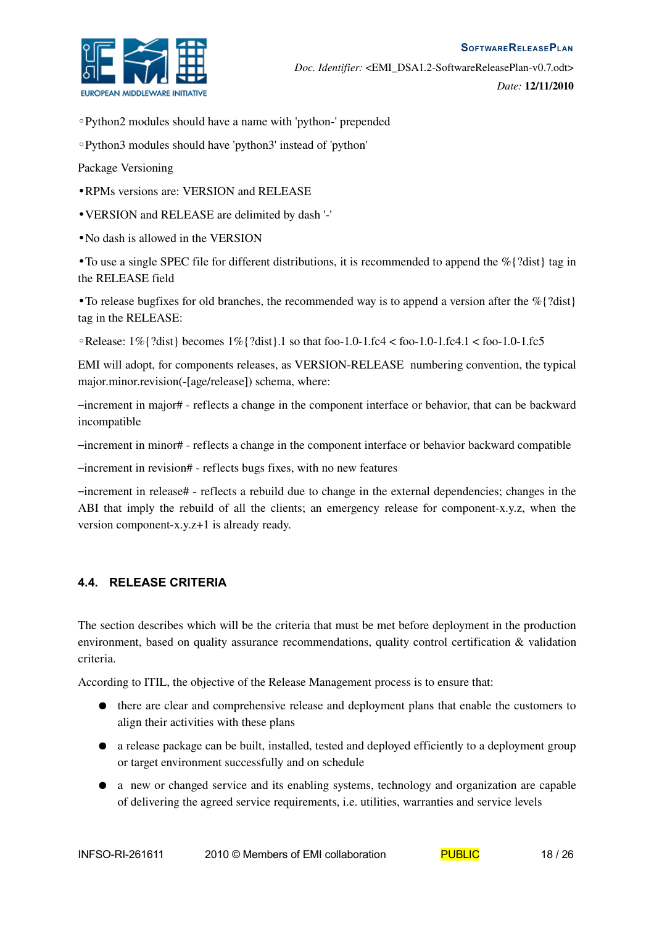

*Doc. Identifier:* <EMI\_DSA1.2-SoftwareReleasePlan-v0.7.odt> *Date:* 12/11/2010

◦Python2 modules should have a name with 'python' prepended

◦Python3 modules should have 'python3' instead of 'python'

Package Versioning

- •RPMs versions are: VERSION and RELEASE
- •VERSION and RELEASE are delimited by dash ''
- •No dash is allowed in the VERSION

• To use a single SPEC file for different distributions, it is recommended to append the %{?dist} tag in the RELEASE field

• To release bugfixes for old branches, the recommended way is to append a version after the %{?dist} tag in the RELEASE:

 $\degree$ Release:  $1\%$ {?dist} becomes  $1\%$ {?dist}.1 so that foo-1.0-1.fc4 < foo-1.0-1.fc4.1 < foo-1.0-1.fc5

EMI will adopt, for components releases, as VERSION-RELEASE numbering convention, the typical major.minor.revision(-[age/release]) schema, where:

–increment in major# reflects a change in the component interface or behavior, that can be backward incompatible

–increment in minor# reflects a change in the component interface or behavior backward compatible

–increment in revision# reflects bugs fixes, with no new features

–increment in release# reflects a rebuild due to change in the external dependencies; changes in the ABI that imply the rebuild of all the clients; an emergency release for component-x.y.z, when the version component-x.y.z+1 is already ready.

#### **4.4. RELEASE CRITERIA**

The section describes which will be the criteria that must be met before deployment in the production environment, based on quality assurance recommendations, quality control certification & validation criteria.

According to ITIL, the objective of the Release Management process is to ensure that:

- there are clear and comprehensive release and deployment plans that enable the customers to align their activities with these plans
- a release package can be built, installed, tested and deployed efficiently to a deployment group or target environment successfully and on schedule
- a new or changed service and its enabling systems, technology and organization are capable of delivering the agreed service requirements, i.e. utilities, warranties and service levels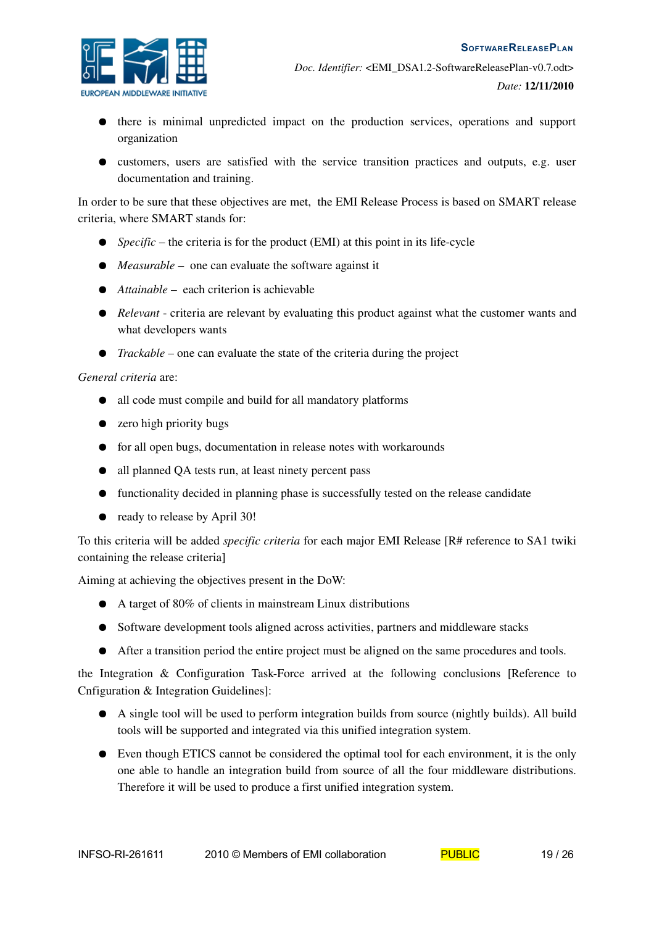

*Doc. Identifier:* <EMI\_DSA1.2-SoftwareReleasePlan-v0.7.odt> *Date:* 12/11/2010

- there is minimal unpredicted impact on the production services, operations and support organization
- customers, users are satisfied with the service transition practices and outputs, e.g. user documentation and training.

In order to be sure that these objectives are met, the EMI Release Process is based on SMART release criteria, where SMART stands for:

- $\bullet$  *Specific* the criteria is for the product (EMI) at this point in its life-cycle
- *Measurable* one can evaluate the software against it
- *Attainable* each criterion is achievable
- *Relevant* criteria are relevant by evaluating this product against what the customer wants and what developers wants
- *Trackable* one can evaluate the state of the criteria during the project

#### *General criteria* are:

- all code must compile and build for all mandatory platforms
- zero high priority bugs
- for all open bugs, documentation in release notes with workarounds
- all planned QA tests run, at least ninety percent pass
- functionality decided in planning phase is successfully tested on the release candidate
- ready to release by April 30!

To this criteria will be added *specific criteria* for each major EMI Release [R# reference to SA1 twiki containing the release criteria]

Aiming at achieving the objectives present in the DoW:

- A target of 80% of clients in mainstream Linux distributions
- Software development tools aligned across activities, partners and middleware stacks
- After a transition period the entire project must be aligned on the same procedures and tools.

the Integration  $\&$  Configuration Task-Force arrived at the following conclusions [Reference to Cnfiguration & Integration Guidelines]:

- A single tool will be used to perform integration builds from source (nightly builds). All build tools will be supported and integrated via this unified integration system.
- Even though ETICS cannot be considered the optimal tool for each environment, it is the only one able to handle an integration build from source of all the four middleware distributions. Therefore it will be used to produce a first unified integration system.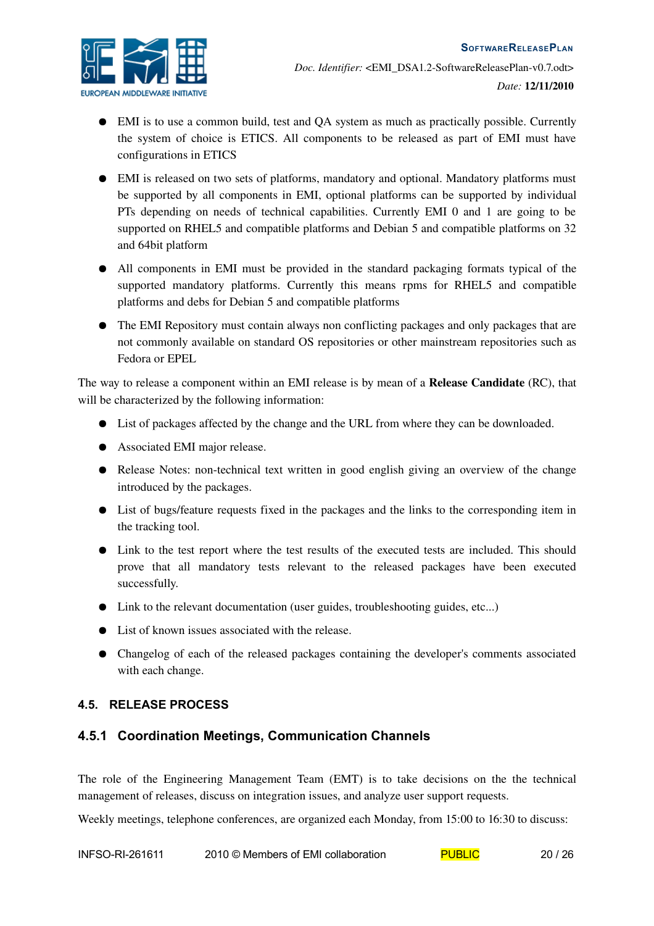

- EMI is to use a common build, test and QA system as much as practically possible. Currently the system of choice is ETICS. All components to be released as part of EMI must have configurations in ETICS
- EMI is released on two sets of platforms, mandatory and optional. Mandatory platforms must be supported by all components in EMI, optional platforms can be supported by individual PTs depending on needs of technical capabilities. Currently EMI 0 and 1 are going to be supported on RHEL5 and compatible platforms and Debian 5 and compatible platforms on 32 and 64bit platform
- All components in EMI must be provided in the standard packaging formats typical of the supported mandatory platforms. Currently this means rpms for RHEL5 and compatible platforms and debs for Debian 5 and compatible platforms
- The EMI Repository must contain always non conflicting packages and only packages that are not commonly available on standard OS repositories or other mainstream repositories such as Fedora or EPEL

The way to release a component within an EMI release is by mean of a Release Candidate (RC), that will be characterized by the following information:

- List of packages affected by the change and the URL from where they can be downloaded.
- Associated EMI major release.
- Release Notes: non-technical text written in good english giving an overview of the change introduced by the packages.
- List of bugs/feature requests fixed in the packages and the links to the corresponding item in the tracking tool.
- Link to the test report where the test results of the executed tests are included. This should prove that all mandatory tests relevant to the released packages have been executed successfully.
- Link to the relevant documentation (user guides, troubleshooting guides, etc...)
- List of known issues associated with the release.
- Changelog of each of the released packages containing the developer's comments associated with each change.

### **4.5. RELEASE PROCESS**

### **4.5.1 Coordination Meetings, Communication Channels**

The role of the Engineering Management Team (EMT) is to take decisions on the the technical management of releases, discuss on integration issues, and analyze user support requests.

Weekly meetings, telephone conferences, are organized each Monday, from 15:00 to 16:30 to discuss: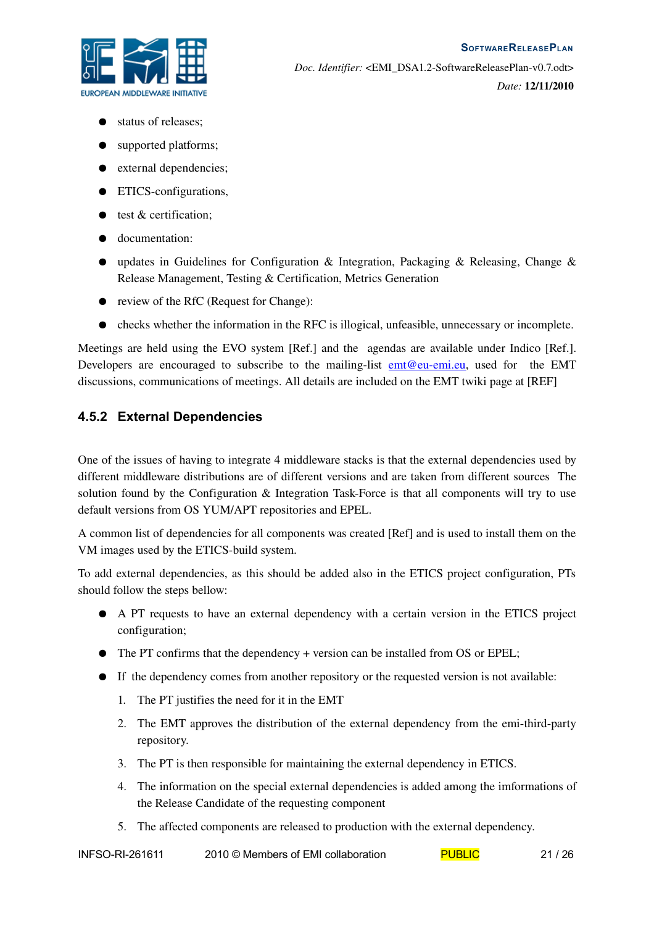

- status of releases:
- supported platforms;
- external dependencies;
- ETICS-configurations,
- $\bullet$  test & certification;
- documentation:
- $\bullet$  updates in Guidelines for Configuration & Integration, Packaging & Releasing, Change & Release Management, Testing & Certification, Metrics Generation
- review of the RfC (Request for Change):
- checks whether the information in the RFC is illogical, unfeasible, unnecessary or incomplete.

Meetings are held using the EVO system [Ref.] and the agendas are available under Indico [Ref.]. Developers are encouraged to subscribe to the mailing-list  $emt@eu-emi.eu$ , used for the EMT discussions, communications of meetings. All details are included on the EMT twiki page at [REF]

### **4.5.2 External Dependencies**

One of the issues of having to integrate 4 middleware stacks is that the external dependencies used by different middleware distributions are of different versions and are taken from different sources The solution found by the Configuration  $\&$  Integration Task-Force is that all components will try to use default versions from OS YUM/APT repositories and EPEL.

A common list of dependencies for all components was created [Ref] and is used to install them on the VM images used by the ETICS-build system.

To add external dependencies, as this should be added also in the ETICS project configuration, PTs should follow the steps bellow:

- A PT requests to have an external dependency with a certain version in the ETICS project configuration;
- The PT confirms that the dependency + version can be installed from OS or EPEL;
- If the dependency comes from another repository or the requested version is not available:
	- 1. The PT justifies the need for it in the EMT
	- 2. The EMT approves the distribution of the external dependency from the emi-third-party repository.
	- 3. The PT is then responsible for maintaining the external dependency in ETICS.
	- 4. The information on the special external dependencies is added among the imformations of the Release Candidate of the requesting component
	- 5. The affected components are released to production with the external dependency.

| INFSO-RI-261611<br>2010 © Members of EMI collaboration | <b>PUBLIC</b> | 21/26 |
|--------------------------------------------------------|---------------|-------|
|--------------------------------------------------------|---------------|-------|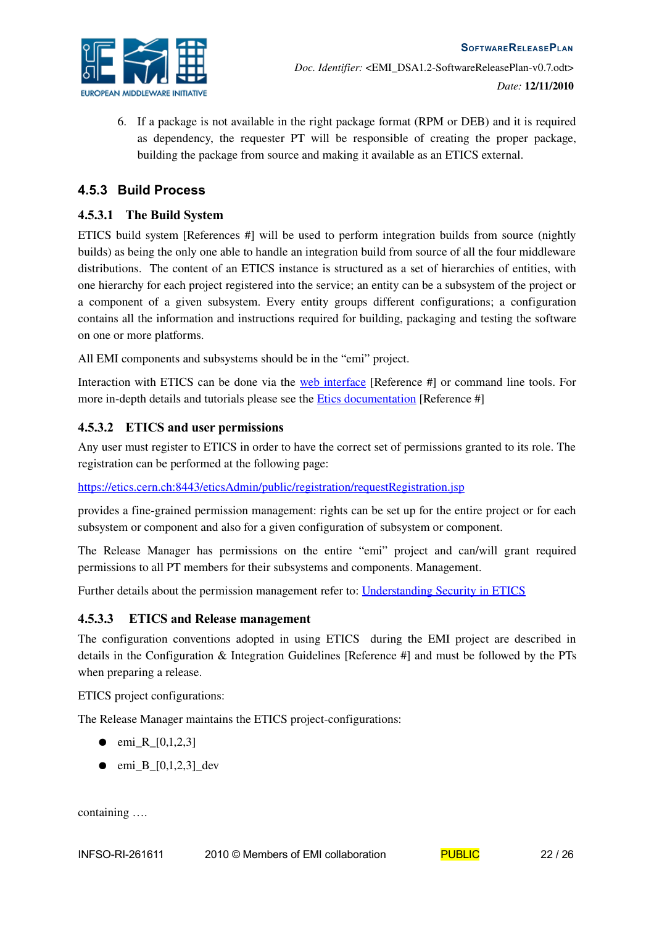

6. If a package is not available in the right package format (RPM or DEB) and it is required as dependency, the requester PT will be responsible of creating the proper package, building the package from source and making it available as an ETICS external.

#### **4.5.3 Build Process**

#### **4.5.3.1 The Build System**

ETICS build system [References #] will be used to perform integration builds from source (nightly builds) as being the only one able to handle an integration build from source of all the four middleware distributions. The content of an ETICS instance is structured as a set of hierarchies of entities, with one hierarchy for each project registered into the service; an entity can be a subsystem of the project or a component of a given subsystem. Every entity groups different configurations; a configuration contains all the information and instructions required for building, packaging and testing the software on one or more platforms.

All EMI components and subsystems should be in the "emi" project.

Interaction with ETICS can be done via the [web interface](https://etics.cern.ch/eticsPortal/) [Reference #] or command line tools. For more in-depth details and tutorials please see the [Etics documentation](https://twiki.cern.ch/twiki/bin/view/ETICS/WebHome) [Reference #]

#### **4.5.3.2 ETICS and user permissions**

Any user must register to ETICS in order to have the correct set of permissions granted to its role. The registration can be performed at the following page:

<https://etics.cern.ch:8443/eticsAdmin/public/registration/requestRegistration.jsp>

provides a fine-grained permission management: rights can be set up for the entire project or for each subsystem or component and also for a given configuration of subsystem or component.

The Release Manager has permissions on the entire "emi" project and can/will grant required permissions to all PT members for their subsystems and components. Management.

Further details about the permission management refer to: [Understanding Security in ETICS](http://support.eticsproject.eu/index.php?view=article&catid=2%3Atutorial&id=80%3Aundertanding-security-in-etics&option=com_content&Itemid=5)

#### **4.5.3.3 ETICS and Release management**

The configuration conventions adopted in using ETICS during the EMI project are described in details in the Configuration & Integration Guidelines [Reference #] and must be followed by the PTs when preparing a release.

ETICS project configurations:

The Release Manager maintains the ETICS project-configurations:

- emi\_R\_ $[0,1,2,3]$
- $\bullet$  emi\_B\_[0,1,2,3]\_dev

containing ….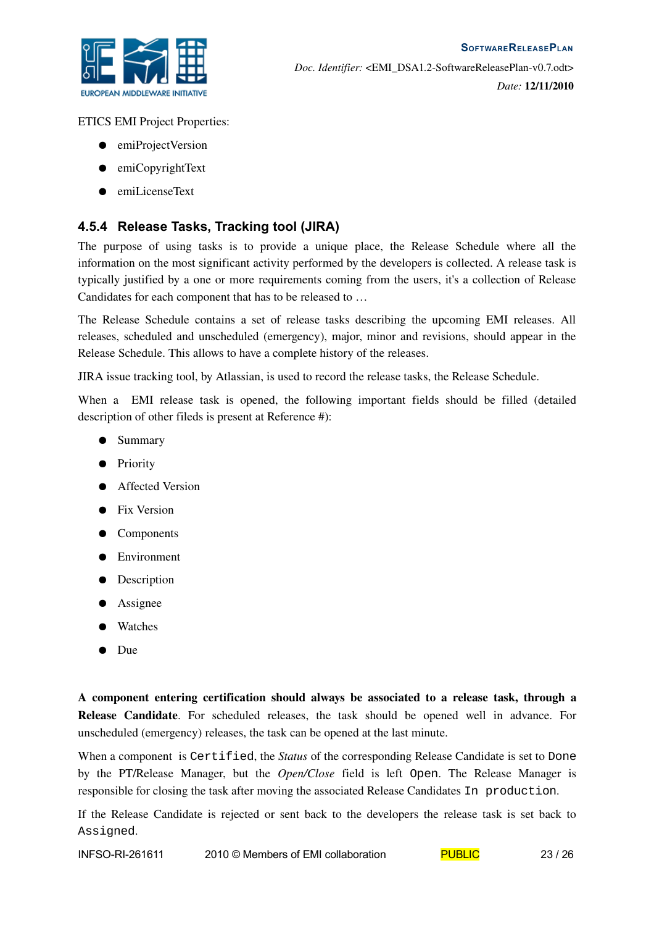

ETICS EMI Project Properties:

- emiProjectVersion
- emiCopyrightText
- emiLicenseText

## **4.5.4 Release Tasks, Tracking tool (JIRA)**

The purpose of using tasks is to provide a unique place, the Release Schedule where all the information on the most significant activity performed by the developers is collected. A release task is typically justified by a one or more requirements coming from the users, it's a collection of Release Candidates for each component that has to be released to …

The Release Schedule contains a set of release tasks describing the upcoming EMI releases. All releases, scheduled and unscheduled (emergency), major, minor and revisions, should appear in the Release Schedule. This allows to have a complete history of the releases.

JIRA issue tracking tool, by Atlassian, is used to record the release tasks, the Release Schedule.

When a EMI release task is opened, the following important fields should be filled (detailed description of other fileds is present at Reference #):

- Summary
- Priority
- Affected Version
- Fix Version
- Components
- Environment
- **•** Description
- Assignee
- Watches
- Due

A component entering certification should always be associated to a release task, through a Release Candidate. For scheduled releases, the task should be opened well in advance. For unscheduled (emergency) releases, the task can be opened at the last minute.

When a component is Certified, the *Status* of the corresponding Release Candidate is set to Done by the PT/Release Manager, but the *Open/Close* field is left **Open**. The Release Manager is responsible for closing the task after moving the associated Release Candidates In production.

If the Release Candidate is rejected or sent back to the developers the release task is set back to Assigned.

INFSO-RI-261611 2010 © Members of EMI collaboration PUBLIC 23/26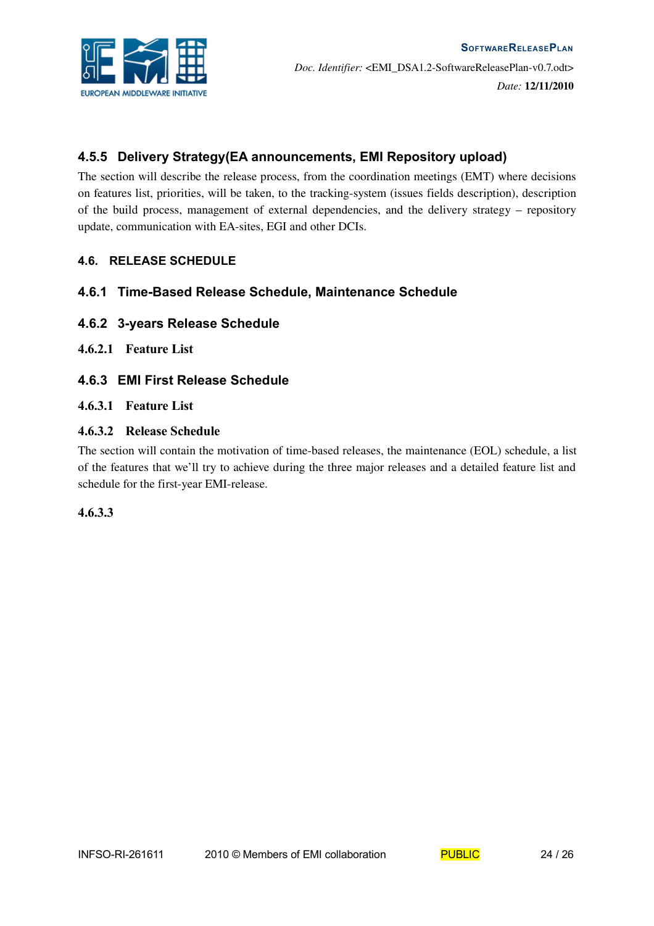

## **4.5.5 Delivery Strategy(EA announcements, EMI Repository upload)**

The section will describe the release process, from the coordination meetings (EMT) where decisions on features list, priorities, will be taken, to the tracking-system (issues fields description), description of the build process, management of external dependencies, and the delivery strategy – repository update, communication with EA-sites, EGI and other DCIs.

#### **4.6. RELEASE SCHEDULE**

**4.6.1 Time-Based Release Schedule, Maintenance Schedule**

#### **4.6.2 3-years Release Schedule**

**4.6.2.1 Feature List**

**4.6.3 EMI First Release Schedule**

#### **4.6.3.1 Feature List**

#### **4.6.3.2 Release Schedule**

The section will contain the motivation of time-based releases, the maintenance (EOL) schedule, a list of the features that we'll try to achieve during the three major releases and a detailed feature list and schedule for the first-year EMI-release.

**4.6.3.3**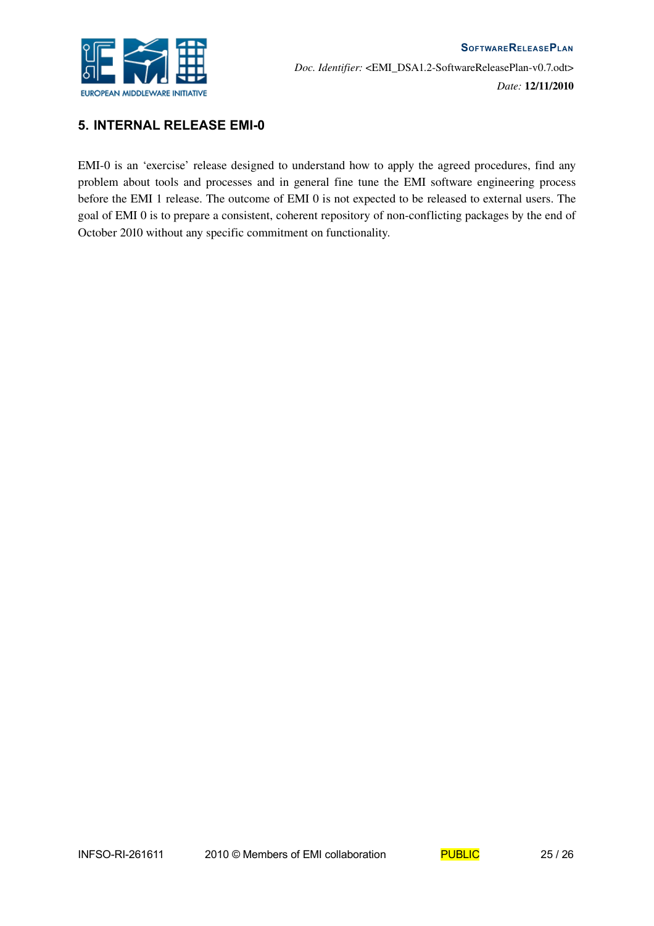

## **5. INTERNAL RELEASE EMI-0**

EMI-0 is an 'exercise' release designed to understand how to apply the agreed procedures, find any problem about tools and processes and in general fine tune the EMI software engineering process before the EMI 1 release. The outcome of EMI 0 is not expected to be released to external users. The goal of EMI 0 is to prepare a consistent, coherent repository of non-conflicting packages by the end of October 2010 without any specific commitment on functionality.